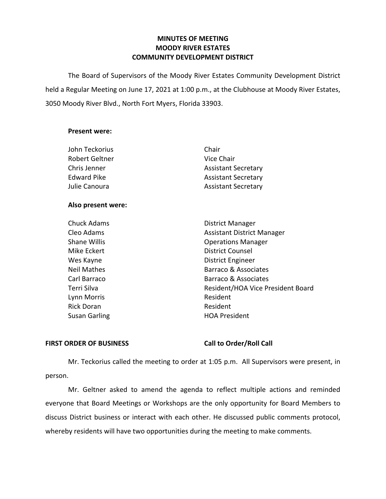## **MINUTES OF MEETING MOODY RIVER ESTATES COMMUNITY DEVELOPMENT DISTRICT**

The Board of Supervisors of the Moody River Estates Community Development District held a Regular Meeting on June 17, 2021 at 1:00 p.m., at the Clubhouse at Moody River Estates, 3050 Moody River Blvd., North Fort Myers, Florida 33903.

### **Present were:**

| John Teckorius     | Chair                             |
|--------------------|-----------------------------------|
| Robert Geltner     | Vice Chair                        |
| Chris Jenner       | <b>Assistant Secretary</b>        |
| <b>Edward Pike</b> | <b>Assistant Secretary</b>        |
| Julie Canoura      | <b>Assistant Secretary</b>        |
| Also present were: |                                   |
| <b>Chuck Adams</b> | <b>District Manager</b>           |
| Cleo Adams         | <b>Assistant District Manager</b> |

| Cleo Adams         | Assistant District Manager        |
|--------------------|-----------------------------------|
| Shane Willis       | <b>Operations Manager</b>         |
| Mike Eckert        | <b>District Counsel</b>           |
| Wes Kayne          | <b>District Engineer</b>          |
| <b>Neil Mathes</b> | <b>Barraco &amp; Associates</b>   |
| Carl Barraco       | Barraco & Associates              |
| Terri Silva        | Resident/HOA Vice President Board |
| Lynn Morris        | Resident                          |
| <b>Rick Doran</b>  | Resident                          |
| Susan Garling      | <b>HOA President</b>              |
|                    |                                   |

## **FIRST ORDER OF BUSINESS Call to Order/Roll Call**

Mr. Teckorius called the meeting to order at 1:05 p.m. All Supervisors were present, in person.

Mr. Geltner asked to amend the agenda to reflect multiple actions and reminded everyone that Board Meetings or Workshops are the only opportunity for Board Members to discuss District business or interact with each other. He discussed public comments protocol, whereby residents will have two opportunities during the meeting to make comments.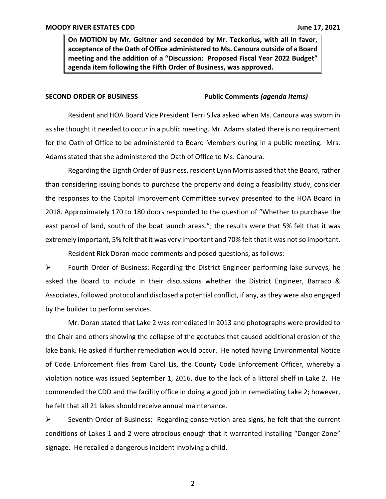**On MOTION by Mr. Geltner and seconded by Mr. Teckorius, with all in favor, acceptance of the Oath of Office administered to Ms. Canoura outside of a Board meeting and the addition of a "Discussion: Proposed Fiscal Year 2022 Budget" agenda item following the Fifth Order of Business, was approved.**

### **SECOND ORDER OF BUSINESS Public Comments** *(agenda items)*

Resident and HOA Board Vice President Terri Silva asked when Ms. Canoura was sworn in as she thought it needed to occur in a public meeting. Mr. Adams stated there is no requirement for the Oath of Office to be administered to Board Members during in a public meeting. Mrs. Adams stated that she administered the Oath of Office to Ms. Canoura.

Regarding the Eighth Order of Business, resident Lynn Morris asked that the Board, rather than considering issuing bonds to purchase the property and doing a feasibility study, consider the responses to the Capital Improvement Committee survey presented to the HOA Board in 2018. Approximately 170 to 180 doors responded to the question of "Whether to purchase the east parcel of land, south of the boat launch areas."; the results were that 5% felt that it was extremely important, 5% felt that it was very important and 70% felt that it was not so important.

Resident Rick Doran made comments and posed questions, as follows:

 $\triangleright$  Fourth Order of Business: Regarding the District Engineer performing lake surveys, he asked the Board to include in their discussions whether the District Engineer, Barraco & Associates, followed protocol and disclosed a potential conflict, if any, as they were also engaged by the builder to perform services.

Mr. Doran stated that Lake 2 was remediated in 2013 and photographs were provided to the Chair and others showing the collapse of the geotubes that caused additional erosion of the lake bank. He asked if further remediation would occur. He noted having Environmental Notice of Code Enforcement files from Carol Lis, the County Code Enforcement Officer, whereby a violation notice was issued September 1, 2016, due to the lack of a littoral shelf in Lake 2. He commended the CDD and the facility office in doing a good job in remediating Lake 2; however, he felt that all 21 lakes should receive annual maintenance.

➢ Seventh Order of Business: Regarding conservation area signs, he felt that the current conditions of Lakes 1 and 2 were atrocious enough that it warranted installing "Danger Zone" signage. He recalled a dangerous incident involving a child.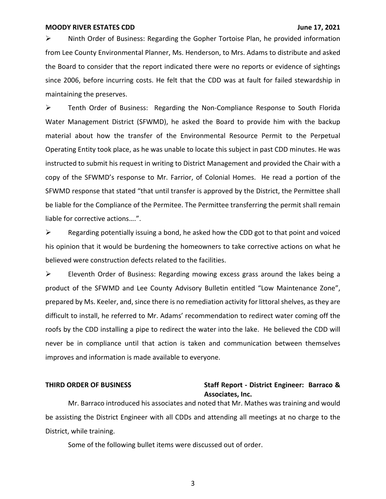➢ Ninth Order of Business: Regarding the Gopher Tortoise Plan, he provided information from Lee County Environmental Planner, Ms. Henderson, to Mrs. Adams to distribute and asked the Board to consider that the report indicated there were no reports or evidence of sightings since 2006, before incurring costs. He felt that the CDD was at fault for failed stewardship in maintaining the preserves.

➢ Tenth Order of Business: Regarding the Non-Compliance Response to South Florida Water Management District (SFWMD), he asked the Board to provide him with the backup material about how the transfer of the Environmental Resource Permit to the Perpetual Operating Entity took place, as he was unable to locate this subject in past CDD minutes. He was instructed to submit his request in writing to District Management and provided the Chair with a copy of the SFWMD's response to Mr. Farrior, of Colonial Homes. He read a portion of the SFWMD response that stated "that until transfer is approved by the District, the Permittee shall be liable for the Compliance of the Permitee. The Permittee transferring the permit shall remain liable for corrective actions….".

 $\triangleright$  Regarding potentially issuing a bond, he asked how the CDD got to that point and voiced his opinion that it would be burdening the homeowners to take corrective actions on what he believed were construction defects related to the facilities.

➢ Eleventh Order of Business: Regarding mowing excess grass around the lakes being a product of the SFWMD and Lee County Advisory Bulletin entitled "Low Maintenance Zone", prepared by Ms. Keeler, and, since there is no remediation activity for littoral shelves, as they are difficult to install, he referred to Mr. Adams' recommendation to redirect water coming off the roofs by the CDD installing a pipe to redirect the water into the lake. He believed the CDD will never be in compliance until that action is taken and communication between themselves improves and information is made available to everyone.

## **THIRD ORDER OF BUSINESS Staff Report - District Engineer: Barraco & Associates, Inc.**

Mr. Barraco introduced his associates and noted that Mr. Mathes was training and would be assisting the District Engineer with all CDDs and attending all meetings at no charge to the District, while training.

Some of the following bullet items were discussed out of order.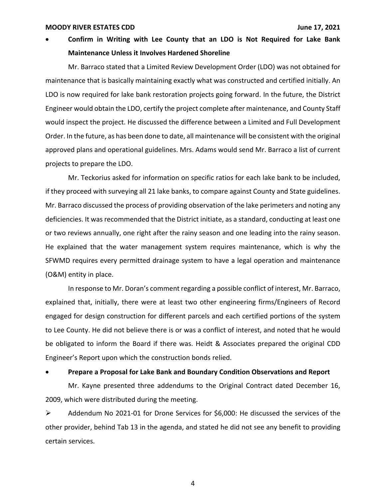• **Confirm in Writing with Lee County that an LDO is Not Required for Lake Bank Maintenance Unless it Involves Hardened Shoreline**

Mr. Barraco stated that a Limited Review Development Order (LDO) was not obtained for maintenance that is basically maintaining exactly what was constructed and certified initially. An LDO is now required for lake bank restoration projects going forward. In the future, the District Engineer would obtain the LDO, certify the project complete after maintenance, and County Staff would inspect the project. He discussed the difference between a Limited and Full Development Order. In the future, as has been done to date, all maintenance will be consistent with the original approved plans and operational guidelines. Mrs. Adams would send Mr. Barraco a list of current projects to prepare the LDO.

Mr. Teckorius asked for information on specific ratios for each lake bank to be included, if they proceed with surveying all 21 lake banks, to compare against County and State guidelines. Mr. Barraco discussed the process of providing observation of the lake perimeters and noting any deficiencies. It was recommended that the District initiate, as a standard, conducting at least one or two reviews annually, one right after the rainy season and one leading into the rainy season. He explained that the water management system requires maintenance, which is why the SFWMD requires every permitted drainage system to have a legal operation and maintenance (O&M) entity in place.

In response to Mr. Doran's comment regarding a possible conflict of interest, Mr. Barraco, explained that, initially, there were at least two other engineering firms/Engineers of Record engaged for design construction for different parcels and each certified portions of the system to Lee County. He did not believe there is or was a conflict of interest, and noted that he would be obligated to inform the Board if there was. Heidt & Associates prepared the original CDD Engineer's Report upon which the construction bonds relied.

### • **Prepare a Proposal for Lake Bank and Boundary Condition Observations and Report**

Mr. Kayne presented three addendums to the Original Contract dated December 16, 2009, which were distributed during the meeting.

➢ Addendum No 2021-01 for Drone Services for \$6,000: He discussed the services of the other provider, behind Tab 13 in the agenda, and stated he did not see any benefit to providing certain services.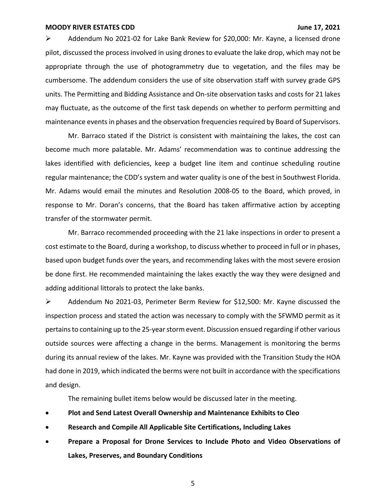➢ Addendum No 2021-02 for Lake Bank Review for \$20,000: Mr. Kayne, a licensed drone pilot, discussed the process involved in using drones to evaluate the lake drop, which may not be appropriate through the use of photogrammetry due to vegetation, and the files may be cumbersome. The addendum considers the use of site observation staff with survey grade GPS units. The Permitting and Bidding Assistance and On-site observation tasks and costs for 21 lakes may fluctuate, as the outcome of the first task depends on whether to perform permitting and maintenance events in phases and the observation frequencies required by Board of Supervisors.

Mr. Barraco stated if the District is consistent with maintaining the lakes, the cost can become much more palatable. Mr. Adams' recommendation was to continue addressing the lakes identified with deficiencies, keep a budget line item and continue scheduling routine regular maintenance; the CDD's system and water quality is one of the best in Southwest Florida. Mr. Adams would email the minutes and Resolution 2008-05 to the Board, which proved, in response to Mr. Doran's concerns, that the Board has taken affirmative action by accepting transfer of the stormwater permit.

Mr. Barraco recommended proceeding with the 21 lake inspections in order to present a cost estimate to the Board, during a workshop, to discuss whether to proceed in full or in phases, based upon budget funds over the years, and recommending lakes with the most severe erosion be done first. He recommended maintaining the lakes exactly the way they were designed and adding additional littorals to protect the lake banks.

➢ Addendum No 2021-03, Perimeter Berm Review for \$12,500: Mr. Kayne discussed the inspection process and stated the action was necessary to comply with the SFWMD permit as it pertains to containing up to the 25-year storm event. Discussion ensued regarding if other various outside sources were affecting a change in the berms. Management is monitoring the berms during its annual review of the lakes. Mr. Kayne was provided with the Transition Study the HOA had done in 2019, which indicated the berms were not built in accordance with the specifications and design.

The remaining bullet items below would be discussed later in the meeting.

- **Plot and Send Latest Overall Ownership and Maintenance Exhibits to Cleo**
- **Research and Compile All Applicable Site Certifications, Including Lakes**
- **Prepare a Proposal for Drone Services to Include Photo and Video Observations of Lakes, Preserves, and Boundary Conditions**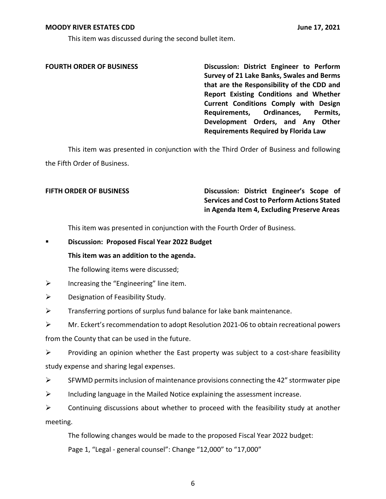This item was discussed during the second bullet item.

**FOURTH ORDER OF BUSINESS Discussion: District Engineer to Perform Survey of 21 Lake Banks, Swales and Berms that are the Responsibility of the CDD and Report Existing Conditions and Whether Current Conditions Comply with Design Requirements, Ordinances, Permits, Development Orders, and Any Other Requirements Required by Florida Law**

This item was presented in conjunction with the Third Order of Business and following the Fifth Order of Business.

## **FIFTH ORDER OF BUSINESS Discussion: District Engineer's Scope of Services and Cost to Perform Actions Stated in Agenda Item 4, Excluding Preserve Areas**

This item was presented in conjunction with the Fourth Order of Business.

▪ **Discussion: Proposed Fiscal Year 2022 Budget**

### **This item was an addition to the agenda.**

The following items were discussed;

 $\triangleright$  Increasing the "Engineering" line item.

 $\triangleright$  Designation of Feasibility Study.

 $\triangleright$  Transferring portions of surplus fund balance for lake bank maintenance.

➢ Mr. Eckert's recommendation to adopt Resolution 2021-06 to obtain recreational powers from the County that can be used in the future.

 $\triangleright$  Providing an opinion whether the East property was subject to a cost-share feasibility study expense and sharing legal expenses.

 $\triangleright$  SFWMD permits inclusion of maintenance provisions connecting the 42" stormwater pipe

 $\triangleright$  Including language in the Mailed Notice explaining the assessment increase.

 $\triangleright$  Continuing discussions about whether to proceed with the feasibility study at another meeting.

The following changes would be made to the proposed Fiscal Year 2022 budget:

Page 1, "Legal - general counsel": Change "12,000" to "17,000"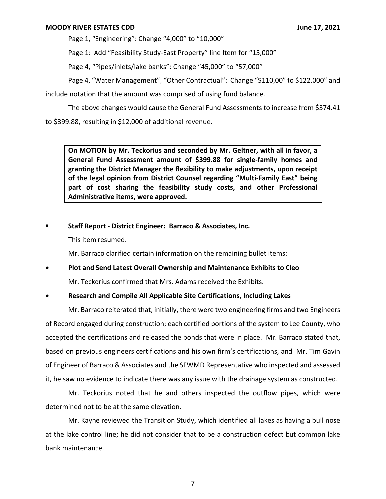Page 1, "Engineering": Change "4,000" to "10,000"

Page 1: Add "Feasibility Study-East Property" line Item for "15,000"

Page 4, "Pipes/inlets/lake banks": Change "45,000" to "57,000"

Page 4, "Water Management", "Other Contractual": Change "\$110,00" to \$122,000" and

include notation that the amount was comprised of using fund balance.

The above changes would cause the General Fund Assessments to increase from \$374.41 to \$399.88, resulting in \$12,000 of additional revenue.

**On MOTION by Mr. Teckorius and seconded by Mr. Geltner, with all in favor, a General Fund Assessment amount of \$399.88 for single-family homes and granting the District Manager the flexibility to make adjustments, upon receipt of the legal opinion from District Counsel regarding "Multi-Family East" being part of cost sharing the feasibility study costs, and other Professional Administrative items, were approved.**

▪ **Staff Report - District Engineer: Barraco & Associates, Inc.**

This item resumed.

Mr. Barraco clarified certain information on the remaining bullet items:

• **Plot and Send Latest Overall Ownership and Maintenance Exhibits to Cleo** Mr. Teckorius confirmed that Mrs. Adams received the Exhibits.

## • **Research and Compile All Applicable Site Certifications, Including Lakes**

Mr. Barraco reiterated that, initially, there were two engineering firms and two Engineers of Record engaged during construction; each certified portions of the system to Lee County, who accepted the certifications and released the bonds that were in place. Mr. Barraco stated that, based on previous engineers certifications and his own firm's certifications, and Mr. Tim Gavin of Engineer of Barraco & Associates and the SFWMD Representative who inspected and assessed it, he saw no evidence to indicate there was any issue with the drainage system as constructed.

Mr. Teckorius noted that he and others inspected the outflow pipes, which were determined not to be at the same elevation.

Mr. Kayne reviewed the Transition Study, which identified all lakes as having a bull nose at the lake control line; he did not consider that to be a construction defect but common lake bank maintenance.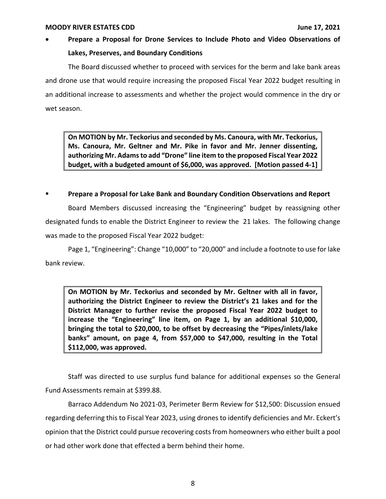# • **Prepare a Proposal for Drone Services to Include Photo and Video Observations of Lakes, Preserves, and Boundary Conditions**

The Board discussed whether to proceed with services for the berm and lake bank areas and drone use that would require increasing the proposed Fiscal Year 2022 budget resulting in an additional increase to assessments and whether the project would commence in the dry or wet season.

**On MOTION by Mr. Teckorius and seconded by Ms. Canoura, with Mr. Teckorius, Ms. Canoura, Mr. Geltner and Mr. Pike in favor and Mr. Jenner dissenting, authorizing Mr. Adams to add "Drone" line item to the proposed Fiscal Year 2022 budget, with a budgeted amount of \$6,000, was approved. [Motion passed 4-1]**

## ▪ **Prepare a Proposal for Lake Bank and Boundary Condition Observations and Report**

Board Members discussed increasing the "Engineering" budget by reassigning other designated funds to enable the District Engineer to review the 21 lakes. The following change was made to the proposed Fiscal Year 2022 budget:

Page 1, "Engineering": Change "10,000" to "20,000" and include a footnote to use for lake bank review.

**On MOTION by Mr. Teckorius and seconded by Mr. Geltner with all in favor, authorizing the District Engineer to review the District's 21 lakes and for the District Manager to further revise the proposed Fiscal Year 2022 budget to increase the "Engineering" line item, on Page 1, by an additional \$10,000, bringing the total to \$20,000, to be offset by decreasing the "Pipes/inlets/lake banks" amount, on page 4, from \$57,000 to \$47,000, resulting in the Total \$112,000, was approved.**

Staff was directed to use surplus fund balance for additional expenses so the General Fund Assessments remain at \$399.88.

Barraco Addendum No 2021-03, Perimeter Berm Review for \$12,500: Discussion ensued regarding deferring this to Fiscal Year 2023, using drones to identify deficiencies and Mr. Eckert's opinion that the District could pursue recovering costs from homeowners who either built a pool or had other work done that effected a berm behind their home.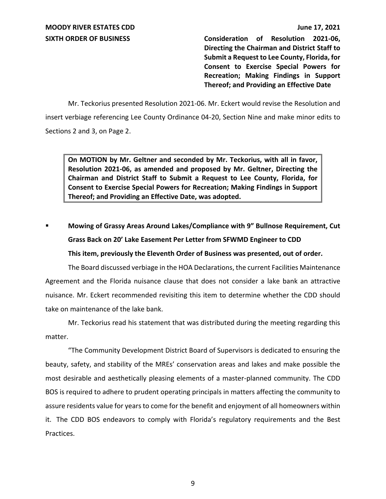**SIXTH ORDER OF BUSINESS Consideration of Resolution 2021-06, Directing the Chairman and District Staff to Submit a Request to Lee County, Florida, for Consent to Exercise Special Powers for Recreation; Making Findings in Support Thereof; and Providing an Effective Date**

Mr. Teckorius presented Resolution 2021-06. Mr. Eckert would revise the Resolution and insert verbiage referencing Lee County Ordinance 04-20, Section Nine and make minor edits to Sections 2 and 3, on Page 2.

**On MOTION by Mr. Geltner and seconded by Mr. Teckorius, with all in favor, Resolution 2021-06, as amended and proposed by Mr. Geltner, Directing the Chairman and District Staff to Submit a Request to Lee County, Florida, for Consent to Exercise Special Powers for Recreation; Making Findings in Support Thereof; and Providing an Effective Date, was adopted.**

▪ **Mowing of Grassy Areas Around Lakes/Compliance with 9" Bullnose Requirement, Cut Grass Back on 20' Lake Easement Per Letter from SFWMD Engineer to CDD This item, previously the Eleventh Order of Business was presented, out of order.**

The Board discussed verbiage in the HOA Declarations, the current Facilities Maintenance Agreement and the Florida nuisance clause that does not consider a lake bank an attractive nuisance. Mr. Eckert recommended revisiting this item to determine whether the CDD should take on maintenance of the lake bank.

Mr. Teckorius read his statement that was distributed during the meeting regarding this matter.

"The Community Development District Board of Supervisors is dedicated to ensuring the beauty, safety, and stability of the MREs' conservation areas and lakes and make possible the most desirable and aesthetically pleasing elements of a master-planned community. The CDD BOS is required to adhere to prudent operating principals in matters affecting the community to assure residents value for years to come for the benefit and enjoyment of all homeowners within it. The CDD BOS endeavors to comply with Florida's regulatory requirements and the Best Practices.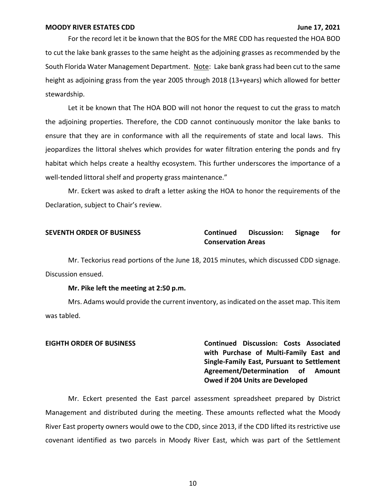For the record let it be known that the BOS for the MRE CDD has requested the HOA BOD to cut the lake bank grasses to the same height as the adjoining grasses as recommended by the South Florida Water Management Department. Note: Lake bank grass had been cut to the same height as adjoining grass from the year 2005 through 2018 (13+years) which allowed for better stewardship.

Let it be known that The HOA BOD will not honor the request to cut the grass to match the adjoining properties. Therefore, the CDD cannot continuously monitor the lake banks to ensure that they are in conformance with all the requirements of state and local laws. This jeopardizes the littoral shelves which provides for water filtration entering the ponds and fry habitat which helps create a healthy ecosystem. This further underscores the importance of a well-tended littoral shelf and property grass maintenance."

Mr. Eckert was asked to draft a letter asking the HOA to honor the requirements of the Declaration, subject to Chair's review.

## **SEVENTH ORDER OF BUSINESS Continued Discussion: Signage for Conservation Areas**

Mr. Teckorius read portions of the June 18, 2015 minutes, which discussed CDD signage. Discussion ensued.

### **Mr. Pike left the meeting at 2:50 p.m.**

Mrs. Adams would provide the current inventory, as indicated on the asset map. This item was tabled.

**EIGHTH ORDER OF BUSINESS Continued Discussion: Costs Associated with Purchase of Multi-Family East and Single-Family East, Pursuant to Settlement Agreement/Determination of Amount Owed if 204 Units are Developed**

Mr. Eckert presented the East parcel assessment spreadsheet prepared by District Management and distributed during the meeting. These amounts reflected what the Moody River East property owners would owe to the CDD, since 2013, if the CDD lifted its restrictive use covenant identified as two parcels in Moody River East, which was part of the Settlement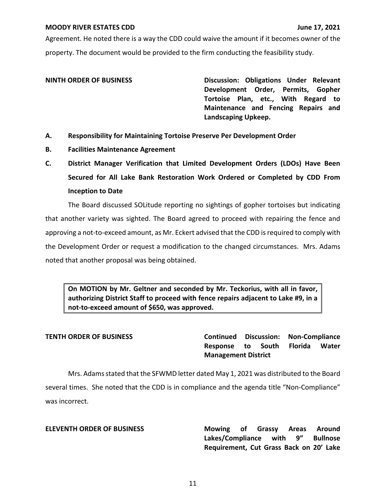Agreement. He noted there is a way the CDD could waive the amount if it becomes owner of the property. The document would be provided to the firm conducting the feasibility study.

**NINTH ORDER OF BUSINESS Discussion: Obligations Under Relevant Development Order, Permits, Gopher Tortoise Plan, etc., With Regard to Maintenance and Fencing Repairs and Landscaping Upkeep.**

- **A. Responsibility for Maintaining Tortoise Preserve Per Development Order**
- **B. Facilities Maintenance Agreement**
- **C. District Manager Verification that Limited Development Orders (LDOs) Have Been Secured for All Lake Bank Restoration Work Ordered or Completed by CDD From Inception to Date**

The Board discussed SOLitude reporting no sightings of gopher tortoises but indicating that another variety was sighted. The Board agreed to proceed with repairing the fence and approving a not-to-exceed amount, as Mr. Eckert advised that the CDD isrequired to comply with the Development Order or request a modification to the changed circumstances. Mrs. Adams noted that another proposal was being obtained.

**On MOTION by Mr. Geltner and seconded by Mr. Teckorius, with all in favor, authorizing District Staff to proceed with fence repairs adjacent to Lake #9, in a not-to-exceed amount of \$650, was approved.**

**TENTH ORDER OF BUSINESS Continued Discussion: Non-Compliance Response to South Florida Water Management District**

Mrs. Adams stated that the SFWMD letter dated May 1, 2021 was distributed to the Board several times. She noted that the CDD is in compliance and the agenda title "Non-Compliance" was incorrect.

**ELEVENTH ORDER OF BUSINESS Mowing of Grassy Areas Around Lakes/Compliance with 9" Bullnose Requirement, Cut Grass Back on 20' Lake**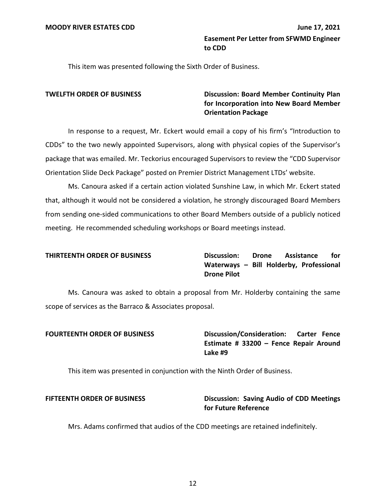This item was presented following the Sixth Order of Business.

## **TWELFTH ORDER OF BUSINESS Discussion: Board Member Continuity Plan for Incorporation into New Board Member Orientation Package**

In response to a request, Mr. Eckert would email a copy of his firm's "Introduction to CDDs" to the two newly appointed Supervisors, along with physical copies of the Supervisor's package that was emailed. Mr. Teckorius encouraged Supervisors to review the "CDD Supervisor Orientation Slide Deck Package" posted on Premier District Management LTDs' website.

Ms. Canoura asked if a certain action violated Sunshine Law, in which Mr. Eckert stated that, although it would not be considered a violation, he strongly discouraged Board Members from sending one-sided communications to other Board Members outside of a publicly noticed meeting. He recommended scheduling workshops or Board meetings instead.

**THIRTEENTH ORDER OF BUSINESS Discussion: Drone Assistance for Waterways – Bill Holderby, Professional Drone Pilot**

Ms. Canoura was asked to obtain a proposal from Mr. Holderby containing the same scope of services as the Barraco & Associates proposal.

**FOURTEENTH ORDER OF BUSINESS Discussion/Consideration: Carter Fence Estimate # 33200 – Fence Repair Around Lake #9**

This item was presented in conjunction with the Ninth Order of Business.

## **FIFTEENTH ORDER OF BUSINESS Discussion: Saving Audio of CDD Meetings for Future Reference**

Mrs. Adams confirmed that audios of the CDD meetings are retained indefinitely.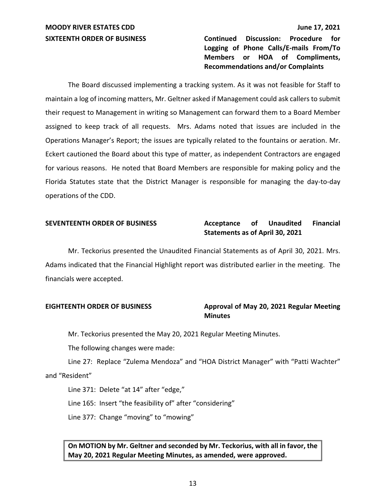**SIXTEENTH ORDER OF BUSINESS Continued Discussion: Procedure for Logging of Phone Calls/E-mails From/To Members or HOA of Compliments, Recommendations and/or Complaints**

The Board discussed implementing a tracking system. As it was not feasible for Staff to maintain a log of incoming matters, Mr. Geltner asked if Management could ask callers to submit their request to Management in writing so Management can forward them to a Board Member assigned to keep track of all requests. Mrs. Adams noted that issues are included in the Operations Manager's Report; the issues are typically related to the fountains or aeration. Mr. Eckert cautioned the Board about this type of matter, as independent Contractors are engaged for various reasons. He noted that Board Members are responsible for making policy and the Florida Statutes state that the District Manager is responsible for managing the day-to-day operations of the CDD.

## **SEVENTEENTH ORDER OF BUSINESS Acceptance of Unaudited Financial Statements as of April 30, 2021**

Mr. Teckorius presented the Unaudited Financial Statements as of April 30, 2021. Mrs. Adams indicated that the Financial Highlight report was distributed earlier in the meeting. The financials were accepted.

## **EIGHTEENTH ORDER OF BUSINESS Approval of May 20, 2021 Regular Meeting Minutes**

Mr. Teckorius presented the May 20, 2021 Regular Meeting Minutes.

The following changes were made:

Line 27: Replace "Zulema Mendoza" and "HOA District Manager" with "Patti Wachter" and "Resident"

Line 371: Delete "at 14" after "edge,"

Line 165: Insert "the feasibility of" after "considering"

Line 377: Change "moving" to "mowing"

## **On MOTION by Mr. Geltner and seconded by Mr. Teckorius, with all in favor, the May 20, 2021 Regular Meeting Minutes, as amended, were approved.**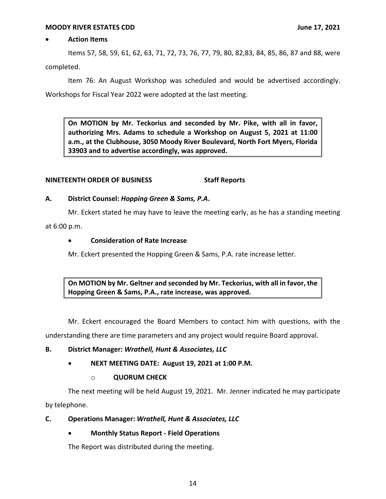### • **Action Items**

Items 57, 58, 59, 61, 62, 63, 71, 72, 73, 76, 77, 79, 80, 82,83, 84, 85, 86, 87 and 88, were completed.

Item 76: An August Workshop was scheduled and would be advertised accordingly. Workshops for Fiscal Year 2022 were adopted at the last meeting.

**On MOTION by Mr. Teckorius and seconded by Mr. Pike, with all in favor, authorizing Mrs. Adams to schedule a Workshop on August 5, 2021 at 11:00 a.m., at the Clubhouse, 3050 Moody River Boulevard, North Fort Myers, Florida 33903 and to advertise accordingly, was approved.**

## **NINETEENTH ORDER OF BUSINESS Staff Reports**

### **A. District Counsel:** *Hopping Green & Sams, P.A***.**

Mr. Eckert stated he may have to leave the meeting early, as he has a standing meeting at 6:00 p.m.

## • **Consideration of Rate Increase**

Mr. Eckert presented the Hopping Green & Sams, P.A. rate increase letter.

**On MOTION by Mr. Geltner and seconded by Mr. Teckorius, with all in favor, the Hopping Green & Sams, P.A., rate increase, was approved.**

Mr. Eckert encouraged the Board Members to contact him with questions, with the understanding there are time parameters and any project would require Board approval.

## **B. District Manager:** *Wrathell, Hunt & Associates, LLC*

• **NEXT MEETING DATE: August 19, 2021 at 1:00 P.M.**

## o **QUORUM CHECK**

The next meeting will be held August 19, 2021. Mr. Jenner indicated he may participate by telephone.

### **C. Operations Manager:** *Wrathell, Hunt & Associates, LLC*

## • **Monthly Status Report - Field Operations**

The Report was distributed during the meeting.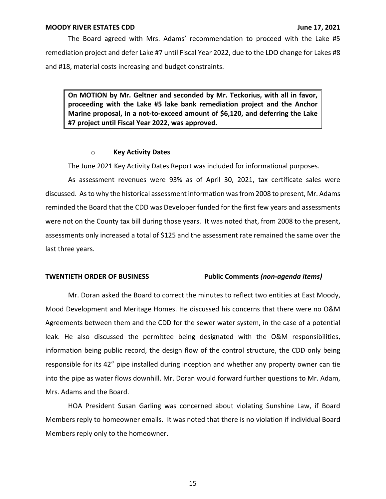The Board agreed with Mrs. Adams' recommendation to proceed with the Lake #5 remediation project and defer Lake #7 until Fiscal Year 2022, due to the LDO change for Lakes #8 and #18, material costs increasing and budget constraints.

**On MOTION by Mr. Geltner and seconded by Mr. Teckorius, with all in favor, proceeding with the Lake #5 lake bank remediation project and the Anchor Marine proposal, in a not-to-exceed amount of \$6,120, and deferring the Lake #7 project until Fiscal Year 2022, was approved.**

### o **Key Activity Dates**

The June 2021 Key Activity Dates Report was included for informational purposes.

As assessment revenues were 93% as of April 30, 2021, tax certificate sales were discussed. As to why the historical assessment information was from 2008 to present, Mr. Adams reminded the Board that the CDD was Developer funded for the first few years and assessments were not on the County tax bill during those years. It was noted that, from 2008 to the present, assessments only increased a total of \$125 and the assessment rate remained the same over the last three years.

### **TWENTIETH ORDER OF BUSINESS Public Comments** *(non-agenda items)*

Mr. Doran asked the Board to correct the minutes to reflect two entities at East Moody, Mood Development and Meritage Homes. He discussed his concerns that there were no O&M Agreements between them and the CDD for the sewer water system, in the case of a potential leak. He also discussed the permittee being designated with the O&M responsibilities, information being public record, the design flow of the control structure, the CDD only being responsible for its 42" pipe installed during inception and whether any property owner can tie into the pipe as water flows downhill. Mr. Doran would forward further questions to Mr. Adam, Mrs. Adams and the Board.

HOA President Susan Garling was concerned about violating Sunshine Law, if Board Members reply to homeowner emails. It was noted that there is no violation if individual Board Members reply only to the homeowner.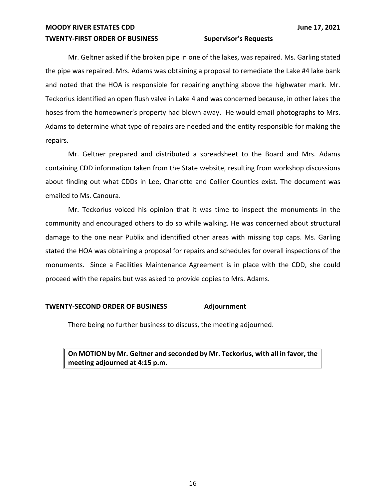## **TWENTY-FIRST ORDER OF BUSINESS Supervisor's Requests**

Mr. Geltner asked if the broken pipe in one of the lakes, was repaired. Ms. Garling stated the pipe was repaired. Mrs. Adams was obtaining a proposal to remediate the Lake #4 lake bank and noted that the HOA is responsible for repairing anything above the highwater mark. Mr. Teckorius identified an open flush valve in Lake 4 and was concerned because, in other lakes the hoses from the homeowner's property had blown away. He would email photographs to Mrs. Adams to determine what type of repairs are needed and the entity responsible for making the repairs.

Mr. Geltner prepared and distributed a spreadsheet to the Board and Mrs. Adams containing CDD information taken from the State website, resulting from workshop discussions about finding out what CDDs in Lee, Charlotte and Collier Counties exist. The document was emailed to Ms. Canoura.

Mr. Teckorius voiced his opinion that it was time to inspect the monuments in the community and encouraged others to do so while walking. He was concerned about structural damage to the one near Publix and identified other areas with missing top caps. Ms. Garling stated the HOA was obtaining a proposal for repairs and schedules for overall inspections of the monuments. Since a Facilities Maintenance Agreement is in place with the CDD, she could proceed with the repairs but was asked to provide copies to Mrs. Adams.

### **TWENTY-SECOND ORDER OF BUSINESS Adjournment**

There being no further business to discuss, the meeting adjourned.

**On MOTION by Mr. Geltner and seconded by Mr. Teckorius, with all in favor, the meeting adjourned at 4:15 p.m.**